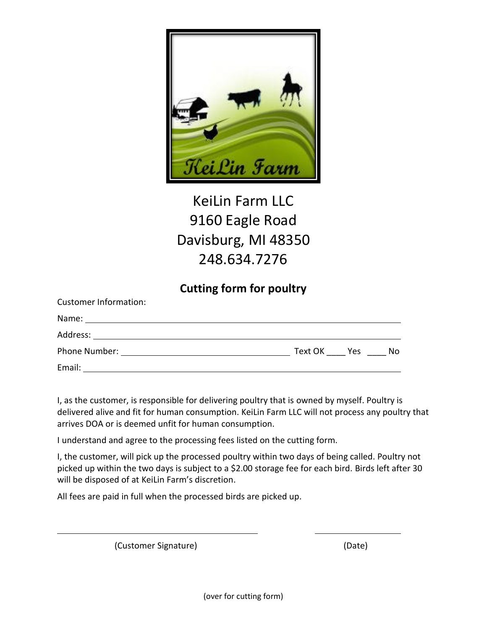

## KeiLin Farm LLC 9160 Eagle Road Davisburg, MI 48350 248.634.7276

## **Cutting form for poultry**

| <b>Customer Information:</b> |             |    |
|------------------------------|-------------|----|
| Name:                        |             |    |
| Address:                     |             |    |
| Phone Number:                | Text OK Yes | No |
| Email:                       |             |    |

I, as the customer, is responsible for delivering poultry that is owned by myself. Poultry is delivered alive and fit for human consumption. KeiLin Farm LLC will not process any poultry that arrives DOA or is deemed unfit for human consumption.

I understand and agree to the processing fees listed on the cutting form.

I, the customer, will pick up the processed poultry within two days of being called. Poultry not picked up within the two days is subject to a \$2.00 storage fee for each bird. Birds left after 30 will be disposed of at KeiLin Farm's discretion.

All fees are paid in full when the processed birds are picked up.

(Customer Signature) (Date)